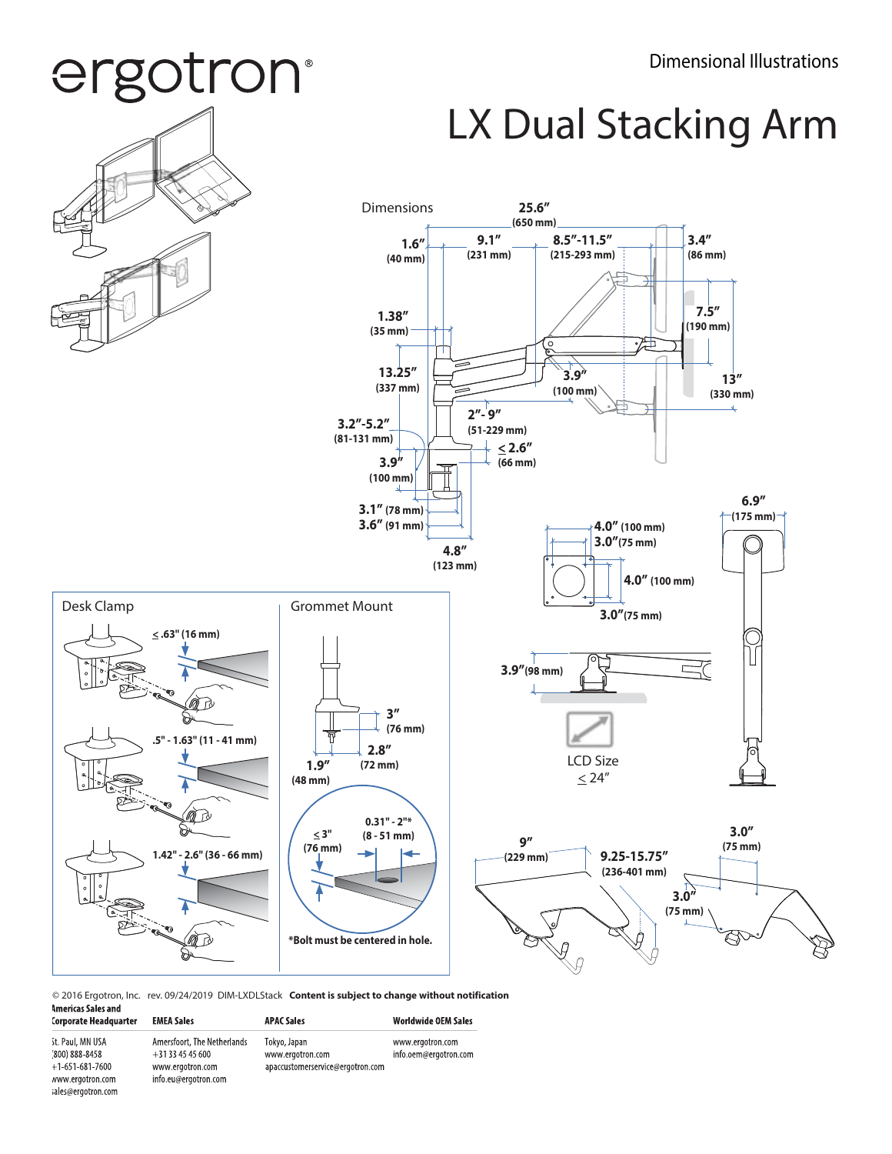## ergotron®

### LX Dual Stacking Arm



© 2016 Ergotron, Inc. rev. 09/24/2019 DIM-LXDLStack **Content is subject to change without notification**

| Americas Sales and           |  |
|------------------------------|--|
| <b>Corporate Headquarter</b> |  |

st. Paul, MN USA

(800) 888-8458

 $+1-651-681-7600$ www.ergotron.com

sales@ergotron.com

| <b>EMEA Sales</b>                                                                         | <b>APAC Sales</b>                                                    | <b>Worldwide OEM Sales</b>                |
|-------------------------------------------------------------------------------------------|----------------------------------------------------------------------|-------------------------------------------|
| Amersfoort, The Netherlands<br>$+31334545600$<br>www.ergotron.com<br>info.eu@ergotron.com | Tokyo, Japan<br>www.ergotron.com<br>apaccustomerservice@ergotron.com | www.ergotron.com<br>info.oem@ergotron.com |